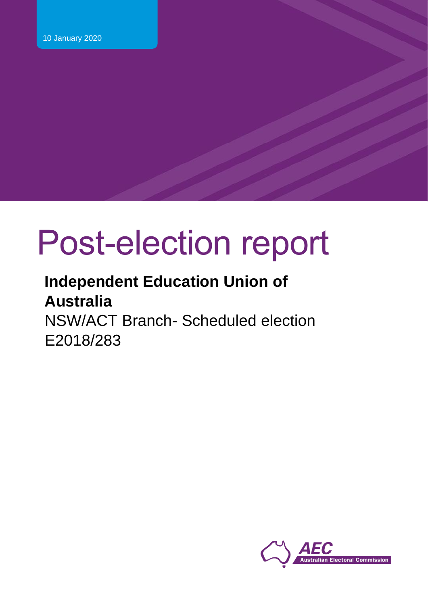# Post-election report

# **Independent Education Union of Australia** NSW/ACT Branch- Scheduled election E2018/283

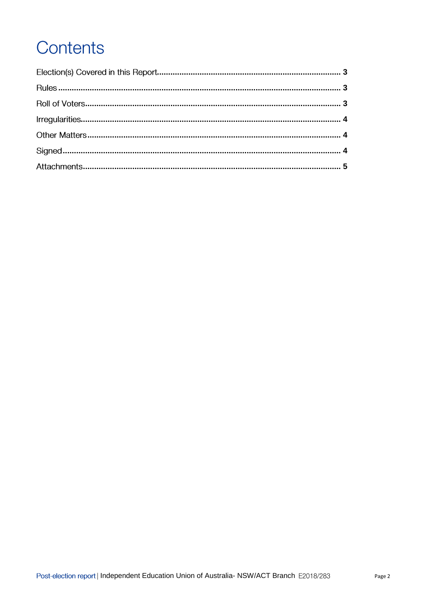# Contents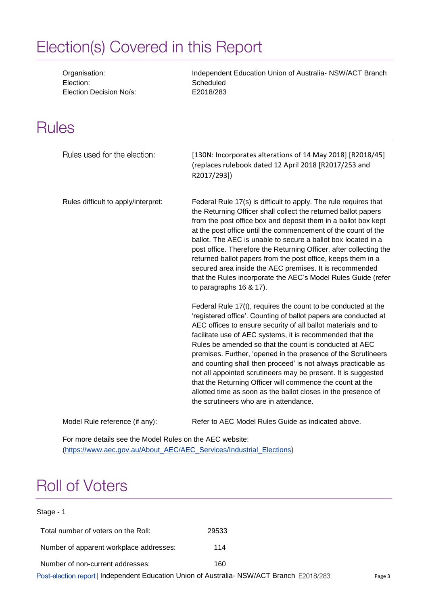# <span id="page-2-0"></span>Election(s) Covered in this Report

Election: Scheduled Election Decision No/s: E2018/283

Organisation: Independent Education Union of Australia- NSW/ACT Branch

# <span id="page-2-1"></span>**Rules**

| Rules used for the election:        | [130N: Incorporates alterations of 14 May 2018] [R2018/45]<br>(replaces rulebook dated 12 April 2018 [R2017/253 and<br>R2017/293])                                                                                                                                                                                                                                                                                                                                                                                                                                                                                                                                                                  |
|-------------------------------------|-----------------------------------------------------------------------------------------------------------------------------------------------------------------------------------------------------------------------------------------------------------------------------------------------------------------------------------------------------------------------------------------------------------------------------------------------------------------------------------------------------------------------------------------------------------------------------------------------------------------------------------------------------------------------------------------------------|
| Rules difficult to apply/interpret: | Federal Rule 17(s) is difficult to apply. The rule requires that<br>the Returning Officer shall collect the returned ballot papers<br>from the post office box and deposit them in a ballot box kept<br>at the post office until the commencement of the count of the<br>ballot. The AEC is unable to secure a ballot box located in a<br>post office. Therefore the Returning Officer, after collecting the<br>returned ballot papers from the post office, keeps them in a<br>secured area inside the AEC premises. It is recommended<br>that the Rules incorporate the AEC's Model Rules Guide (refer<br>to paragraphs $16$ & $17$ ).                                                            |
|                                     | Federal Rule 17(t), requires the count to be conducted at the<br>'registered office'. Counting of ballot papers are conducted at<br>AEC offices to ensure security of all ballot materials and to<br>facilitate use of AEC systems, it is recommended that the<br>Rules be amended so that the count is conducted at AEC<br>premises. Further, 'opened in the presence of the Scrutineers<br>and counting shall then proceed' is not always practicable as<br>not all appointed scrutineers may be present. It is suggested<br>that the Returning Officer will commence the count at the<br>allotted time as soon as the ballot closes in the presence of<br>the scrutineers who are in attendance. |

Model Rule reference (if any): Refer to AEC Model Rules Guide as indicated above.

For more details see the Model Rules on the AEC website: [\(https://www.aec.gov.au/About\\_AEC/AEC\\_Services/Industrial\\_Elections](https://www.aec.gov.au/About_AEC/AEC_Services/Industrial_Elections)

# <span id="page-2-2"></span>**Roll of Voters**

#### Stage - 1

| Total number of voters on the Roll:                                                       | 29533 |        |
|-------------------------------------------------------------------------------------------|-------|--------|
| Number of apparent workplace addresses:                                                   | 114   |        |
| Number of non-current addresses:                                                          | 160   |        |
| Post-election report   Independent Education Union of Australia- NSW/ACT Branch E2018/283 |       | Page 3 |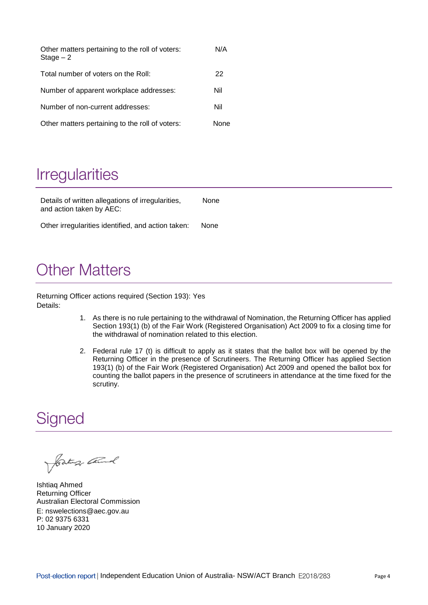<span id="page-3-0"></span>

| Other matters pertaining to the roll of voters:<br>$Stage - 2$ | N/A  |
|----------------------------------------------------------------|------|
| Total number of voters on the Roll:                            | 22   |
| Number of apparent workplace addresses:                        | Nil  |
| Number of non-current addresses:                               | Nil  |
| Other matters pertaining to the roll of voters:                | None |

# **Irregularities**

Details of written allegations of irregularities, and action taken by AEC: None Other irregularities identified, and action taken: None

# <span id="page-3-1"></span>**Other Matters**

Returning Officer actions required (Section 193): Yes Details:

- 1. As there is no rule pertaining to the withdrawal of Nomination, the Returning Officer has applied Section 193(1) (b) of the Fair Work (Registered Organisation) Act 2009 to fix a closing time for the withdrawal of nomination related to this election.
- 2. Federal rule 17 (t) is difficult to apply as it states that the ballot box will be opened by the Returning Officer in the presence of Scrutineers. The Returning Officer has applied Section 193(1) (b) of the Fair Work (Registered Organisation) Act 2009 and opened the ballot box for counting the ballot papers in the presence of scrutineers in attendance at the time fixed for the scrutiny.

### <span id="page-3-2"></span>Signed

Jostung Church

Ishtiaq Ahmed Returning Officer Australian Electoral Commission E: nswelections@aec.gov.au P: 02 9375 6331 10 January 2020